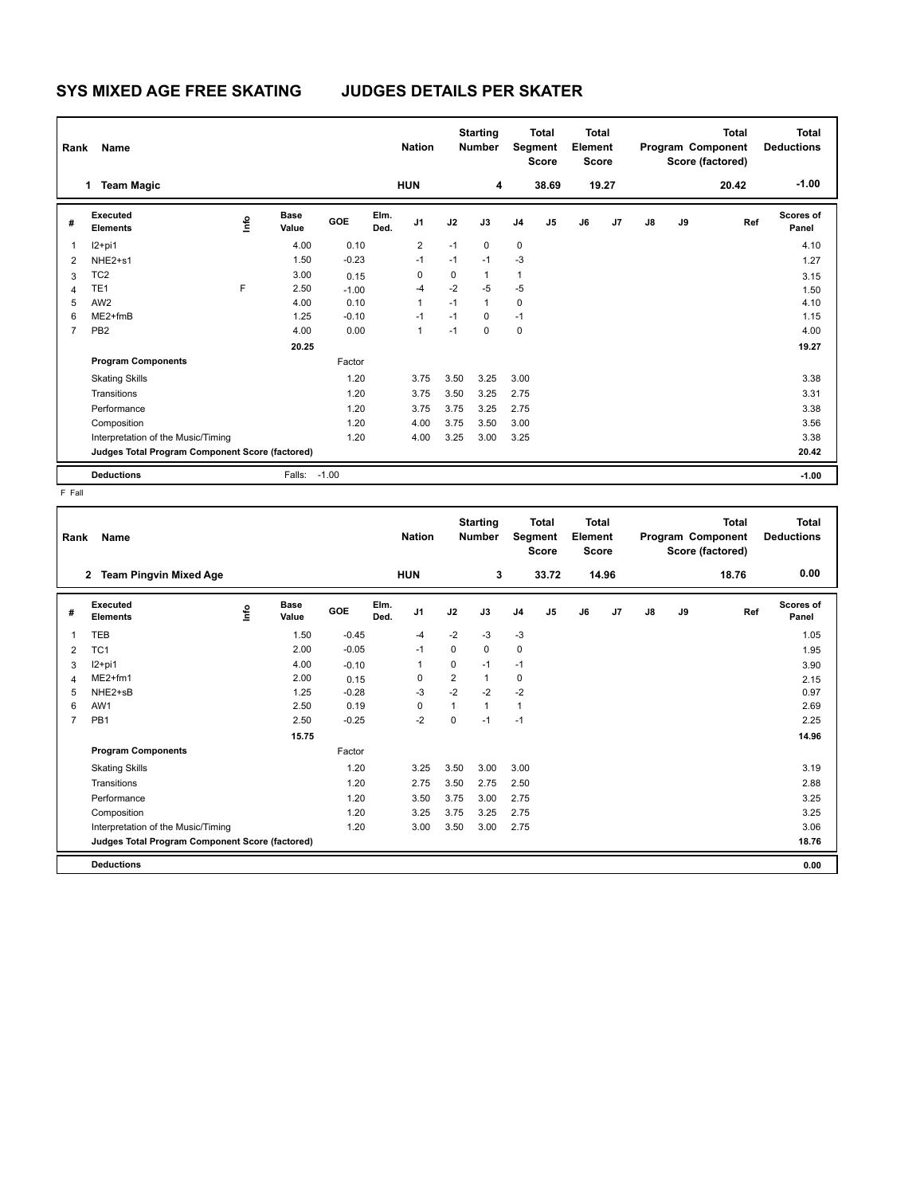## **SYS MIXED AGE FREE SKATING JUDGES DETAILS PER SKATER**

| Name<br>Rank   |                                                 |      |                      |         | <b>Nation</b> |                | <b>Starting</b><br><b>Number</b> |              | <b>Total</b><br>Segment<br><b>Score</b> |                | Total<br>Element<br><b>Score</b> |       | Program Component |    | <b>Total</b><br>Score (factored) | Total<br><b>Deductions</b> |
|----------------|-------------------------------------------------|------|----------------------|---------|---------------|----------------|----------------------------------|--------------|-----------------------------------------|----------------|----------------------------------|-------|-------------------|----|----------------------------------|----------------------------|
|                | <b>Team Magic</b><br>1.                         |      |                      |         |               | <b>HUN</b>     |                                  | 4            |                                         | 38.69          |                                  | 19.27 |                   |    | 20.42                            | $-1.00$                    |
| #              | Executed<br><b>Elements</b>                     | ۱nfo | <b>Base</b><br>Value | GOE     | Elm.<br>Ded.  | J <sub>1</sub> | J2                               | J3           | J <sub>4</sub>                          | J <sub>5</sub> | J6                               | J7    | $\mathsf{J}8$     | J9 | Ref                              | Scores of<br>Panel         |
|                | $12+pi1$                                        |      | 4.00                 | 0.10    |               | $\overline{2}$ | $-1$                             | $\mathbf 0$  | 0                                       |                |                                  |       |                   |    |                                  | 4.10                       |
| $\overline{2}$ | NHE <sub>2+s1</sub>                             |      | 1.50                 | $-0.23$ |               | $-1$           | $-1$                             | $-1$         | $-3$                                    |                |                                  |       |                   |    |                                  | 1.27                       |
| 3              | TC <sub>2</sub>                                 |      | 3.00                 | 0.15    |               | 0              | $\mathbf 0$                      | $\mathbf{1}$ | $\mathbf{1}$                            |                |                                  |       |                   |    |                                  | 3.15                       |
| $\overline{4}$ | TE <sub>1</sub>                                 | F    | 2.50                 | $-1.00$ |               | $-4$           | $-2$                             | $-5$         | $-5$                                    |                |                                  |       |                   |    |                                  | 1.50                       |
| 5              | AW <sub>2</sub>                                 |      | 4.00                 | 0.10    |               | 1              | $-1$                             | $\mathbf{1}$ | 0                                       |                |                                  |       |                   |    |                                  | 4.10                       |
| 6              | ME2+fmB                                         |      | 1.25                 | $-0.10$ |               | $-1$           | $-1$                             | $\Omega$     | $-1$                                    |                |                                  |       |                   |    |                                  | 1.15                       |
| 7              | PB <sub>2</sub>                                 |      | 4.00                 | 0.00    |               | 1              | $-1$                             | $\mathbf 0$  | $\mathbf 0$                             |                |                                  |       |                   |    |                                  | 4.00                       |
|                |                                                 |      | 20.25                |         |               |                |                                  |              |                                         |                |                                  |       |                   |    |                                  | 19.27                      |
|                | <b>Program Components</b>                       |      |                      | Factor  |               |                |                                  |              |                                         |                |                                  |       |                   |    |                                  |                            |
|                | <b>Skating Skills</b>                           |      |                      | 1.20    |               | 3.75           | 3.50                             | 3.25         | 3.00                                    |                |                                  |       |                   |    |                                  | 3.38                       |
|                | Transitions                                     |      |                      | 1.20    |               | 3.75           | 3.50                             | 3.25         | 2.75                                    |                |                                  |       |                   |    |                                  | 3.31                       |
|                | Performance                                     |      |                      | 1.20    |               | 3.75           | 3.75                             | 3.25         | 2.75                                    |                |                                  |       |                   |    |                                  | 3.38                       |
|                | Composition                                     |      |                      | 1.20    |               | 4.00           | 3.75                             | 3.50         | 3.00                                    |                |                                  |       |                   |    |                                  | 3.56                       |
|                | Interpretation of the Music/Timing              |      |                      | 1.20    |               | 4.00           | 3.25                             | 3.00         | 3.25                                    |                |                                  |       |                   |    |                                  | 3.38                       |
|                | Judges Total Program Component Score (factored) |      |                      |         |               |                |                                  |              |                                         |                |                                  |       |                   |    |                                  | 20.42                      |
|                | <b>Deductions</b>                               |      | Falls:               | $-1.00$ |               |                |                                  |              |                                         |                |                                  |       |                   |    |                                  | $-1.00$                    |

F Fall

| Rank           | <b>Name</b>                                     |      |                      |         |              | <b>Nation</b>  |                | <b>Starting</b><br><b>Number</b> |                | <b>Total</b><br>Segment<br><b>Score</b> | <b>Total</b><br>Element<br><b>Score</b> |       |               |    | <b>Total</b><br>Program Component<br>Score (factored) | <b>Total</b><br><b>Deductions</b> |
|----------------|-------------------------------------------------|------|----------------------|---------|--------------|----------------|----------------|----------------------------------|----------------|-----------------------------------------|-----------------------------------------|-------|---------------|----|-------------------------------------------------------|-----------------------------------|
|                | <b>Team Pingvin Mixed Age</b><br>2              |      |                      |         |              | <b>HUN</b>     |                | 3                                |                | 33.72                                   |                                         | 14.96 |               |    | 18.76                                                 | 0.00                              |
| #              | Executed<br><b>Elements</b>                     | ١nf٥ | <b>Base</b><br>Value | GOE     | Elm.<br>Ded. | J <sub>1</sub> | J2             | J3                               | J <sub>4</sub> | J <sub>5</sub>                          | J6                                      | J7    | $\mathsf{J}8$ | J9 | Ref                                                   | <b>Scores of</b><br>Panel         |
| 1              | <b>TEB</b>                                      |      | 1.50                 | $-0.45$ |              | $-4$           | $-2$           | -3                               | $-3$           |                                         |                                         |       |               |    |                                                       | 1.05                              |
| 2              | TC <sub>1</sub>                                 |      | 2.00                 | $-0.05$ |              | $-1$           | 0              | 0                                | $\mathbf 0$    |                                         |                                         |       |               |    |                                                       | 1.95                              |
| 3              | $12+pi1$                                        |      | 4.00                 | $-0.10$ |              | 1              | 0              | $-1$                             | $-1$           |                                         |                                         |       |               |    |                                                       | 3.90                              |
| 4              | $ME2+fm1$                                       |      | 2.00                 | 0.15    |              | 0              | $\overline{2}$ | $\mathbf{1}$                     | 0              |                                         |                                         |       |               |    |                                                       | 2.15                              |
| 5              | NHE2+sB                                         |      | 1.25                 | $-0.28$ |              | $-3$           | $-2$           | $-2$                             | $-2$           |                                         |                                         |       |               |    |                                                       | 0.97                              |
| 6              | AW1                                             |      | 2.50                 | 0.19    |              | 0              | 1              | $\mathbf{1}$                     | $\mathbf{1}$   |                                         |                                         |       |               |    |                                                       | 2.69                              |
| $\overline{7}$ | PB <sub>1</sub>                                 |      | 2.50                 | $-0.25$ |              | $-2$           | $\Omega$       | $-1$                             | $-1$           |                                         |                                         |       |               |    |                                                       | 2.25                              |
|                |                                                 |      | 15.75                |         |              |                |                |                                  |                |                                         |                                         |       |               |    |                                                       | 14.96                             |
|                | <b>Program Components</b>                       |      |                      | Factor  |              |                |                |                                  |                |                                         |                                         |       |               |    |                                                       |                                   |
|                | <b>Skating Skills</b>                           |      |                      | 1.20    |              | 3.25           | 3.50           | 3.00                             | 3.00           |                                         |                                         |       |               |    |                                                       | 3.19                              |
|                | Transitions                                     |      |                      | 1.20    |              | 2.75           | 3.50           | 2.75                             | 2.50           |                                         |                                         |       |               |    |                                                       | 2.88                              |
|                | Performance                                     |      |                      | 1.20    |              | 3.50           | 3.75           | 3.00                             | 2.75           |                                         |                                         |       |               |    |                                                       | 3.25                              |
|                | Composition                                     |      |                      | 1.20    |              | 3.25           | 3.75           | 3.25                             | 2.75           |                                         |                                         |       |               |    |                                                       | 3.25                              |
|                | Interpretation of the Music/Timing              |      |                      | 1.20    |              | 3.00           | 3.50           | 3.00                             | 2.75           |                                         |                                         |       |               |    |                                                       | 3.06                              |
|                | Judges Total Program Component Score (factored) |      |                      |         |              |                |                |                                  |                |                                         |                                         |       |               |    |                                                       | 18.76                             |
|                | <b>Deductions</b>                               |      |                      |         |              |                |                |                                  |                |                                         |                                         |       |               |    |                                                       | 0.00                              |